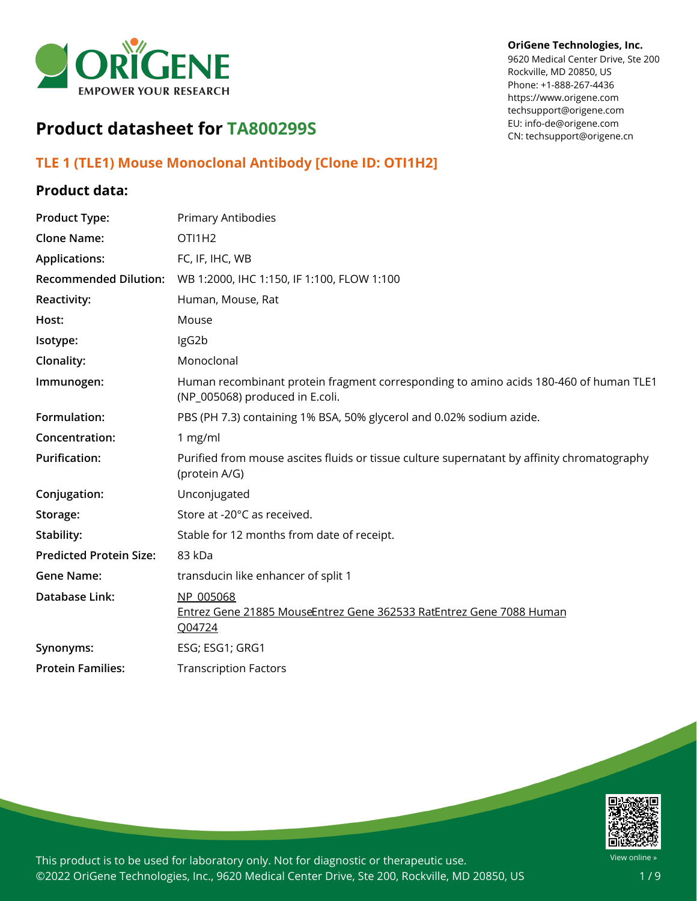

#### **OriGene Technologies, Inc.**

9620 Medical Center Drive, Ste 200 Rockville, MD 20850, US Phone: +1-888-267-4436 https://www.origene.com techsupport@origene.com EU: info-de@origene.com CN: techsupport@origene.cn

# **Product datasheet for TA800299S**

# **TLE 1 (TLE1) Mouse Monoclonal Antibody [Clone ID: OTI1H2]**

### **Product data:**

| <b>Product Type:</b>           | Primary Antibodies                                                                                                       |
|--------------------------------|--------------------------------------------------------------------------------------------------------------------------|
| <b>Clone Name:</b>             | OTI1H2                                                                                                                   |
| <b>Applications:</b>           | FC, IF, IHC, WB                                                                                                          |
| <b>Recommended Dilution:</b>   | WB 1:2000, IHC 1:150, IF 1:100, FLOW 1:100                                                                               |
| Reactivity:                    | Human, Mouse, Rat                                                                                                        |
| Host:                          | Mouse                                                                                                                    |
| Isotype:                       | IgG2b                                                                                                                    |
| Clonality:                     | Monoclonal                                                                                                               |
| Immunogen:                     | Human recombinant protein fragment corresponding to amino acids 180-460 of human TLE1<br>(NP_005068) produced in E.coli. |
| Formulation:                   | PBS (PH 7.3) containing 1% BSA, 50% glycerol and 0.02% sodium azide.                                                     |
| Concentration:                 | 1 mg/ml                                                                                                                  |
| <b>Purification:</b>           | Purified from mouse ascites fluids or tissue culture supernatant by affinity chromatography<br>(protein A/G)             |
| Conjugation:                   | Unconjugated                                                                                                             |
| Storage:                       | Store at -20°C as received.                                                                                              |
| Stability:                     | Stable for 12 months from date of receipt.                                                                               |
| <b>Predicted Protein Size:</b> | 83 kDa                                                                                                                   |
| <b>Gene Name:</b>              | transducin like enhancer of split 1                                                                                      |
| <b>Database Link:</b>          | NP 005068<br>Entrez Gene 21885 MouseEntrez Gene 362533 RatEntrez Gene 7088 Human<br>Q04724                               |
| Synonyms:                      | ESG; ESG1; GRG1                                                                                                          |
| <b>Protein Families:</b>       | <b>Transcription Factors</b>                                                                                             |
|                                |                                                                                                                          |

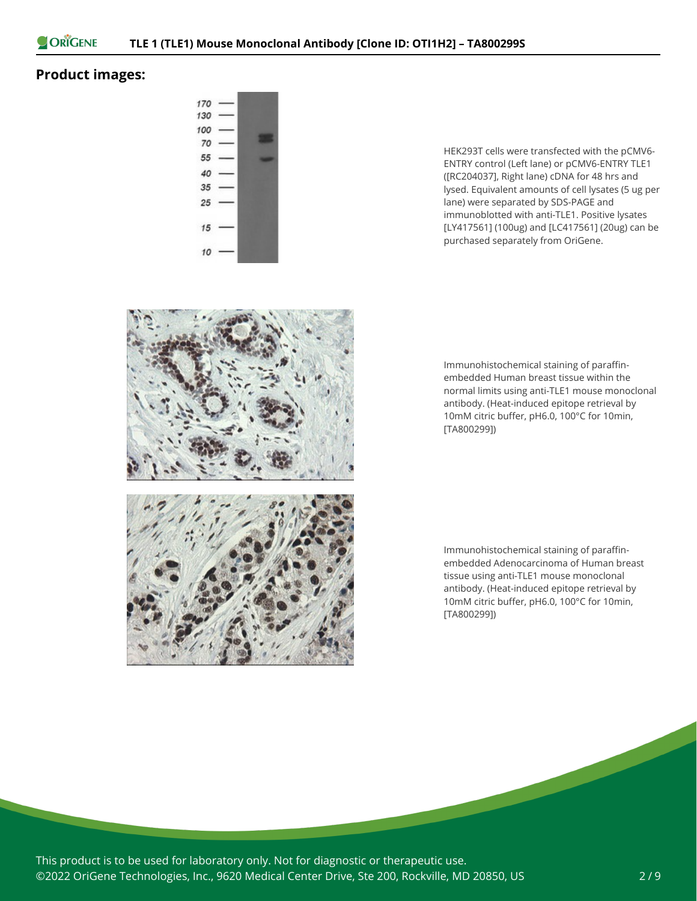

## **Product images:**



HEK293T cells were transfected with the pCMV6- ENTRY control (Left lane) or pCMV6-ENTRY TLE1 ([RC204037], Right lane) cDNA for 48 hrs and lysed. Equivalent amounts of cell lysates (5 ug per lane) were separated by SDS-PAGE and immunoblotted with anti-TLE1. Positive lysates [LY417561] (100ug) and [LC417561] (20ug) can be purchased separately from OriGene.



Immunohistochemical staining of paraffinembedded Human breast tissue within the normal limits using anti-TLE1 mouse monoclonal antibody. (Heat-induced epitope retrieval by 10mM citric buffer, pH6.0, 100°C for 10min, [TA800299])

Immunohistochemical staining of paraffinembedded Adenocarcinoma of Human breast tissue using anti-TLE1 mouse monoclonal antibody. (Heat-induced epitope retrieval by 10mM citric buffer, pH6.0, 100°C for 10min, [TA800299])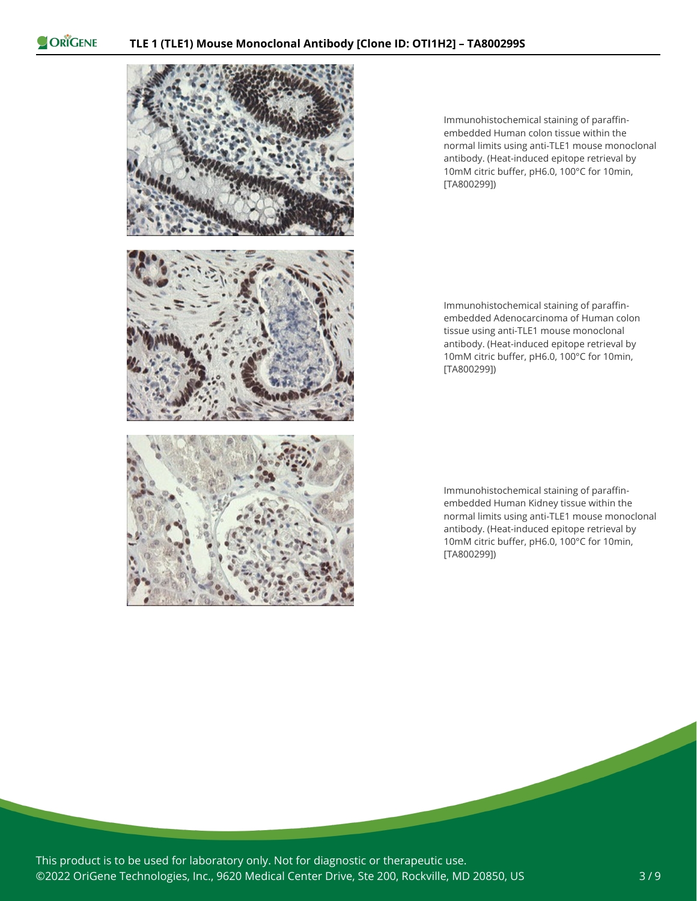

Immunohistochemical staining of paraffinembedded Human colon tissue within the normal limits using anti-TLE1 mouse monoclonal antibody. (Heat-induced epitope retrieval by 10mM citric buffer, pH6.0, 100°C for 10min, [TA800299])

Immunohistochemical staining of paraffinembedded Adenocarcinoma of Human colon tissue using anti-TLE1 mouse monoclonal antibody. (Heat-induced epitope retrieval by 10mM citric buffer, pH6.0, 100°C for 10min, [TA800299])

Immunohistochemical staining of paraffinembedded Human Kidney tissue within the normal limits using anti-TLE1 mouse monoclonal antibody. (Heat-induced epitope retrieval by 10mM citric buffer, pH6.0, 100°C for 10min, [TA800299])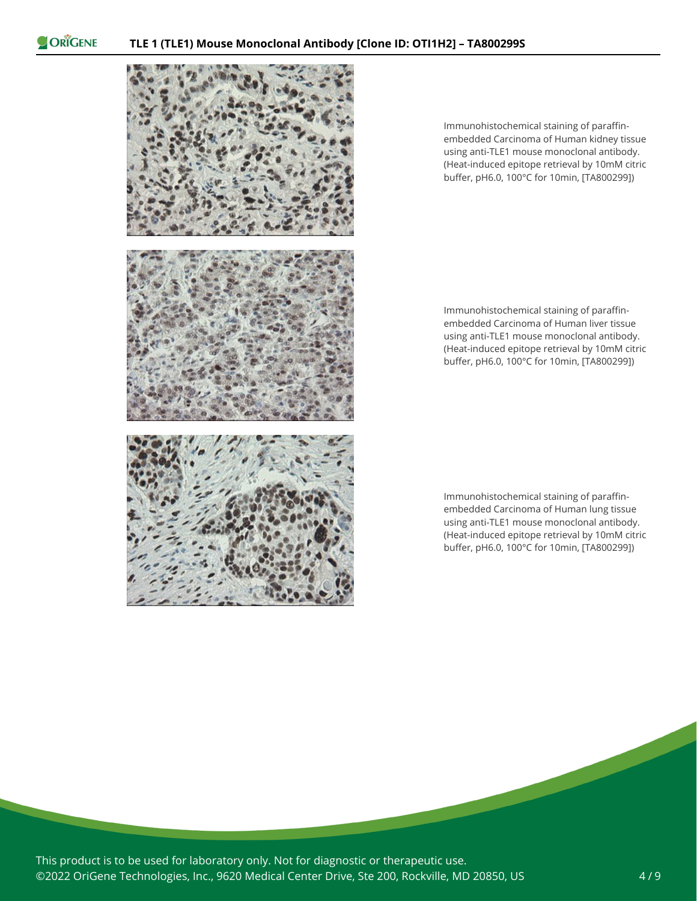

Immunohistochemical staining of paraffinembedded Carcinoma of Human kidney tissue using anti-TLE1 mouse monoclonal antibody. (Heat-induced epitope retrieval by 10mM citric buffer, pH6.0, 100°C for 10min, [TA800299])

Immunohistochemical staining of paraffinembedded Carcinoma of Human liver tissue using anti-TLE1 mouse monoclonal antibody. (Heat-induced epitope retrieval by 10mM citric buffer, pH6.0, 100°C for 10min, [TA800299])

Immunohistochemical staining of paraffinembedded Carcinoma of Human lung tissue using anti-TLE1 mouse monoclonal antibody. (Heat-induced epitope retrieval by 10mM citric buffer, pH6.0, 100°C for 10min, [TA800299])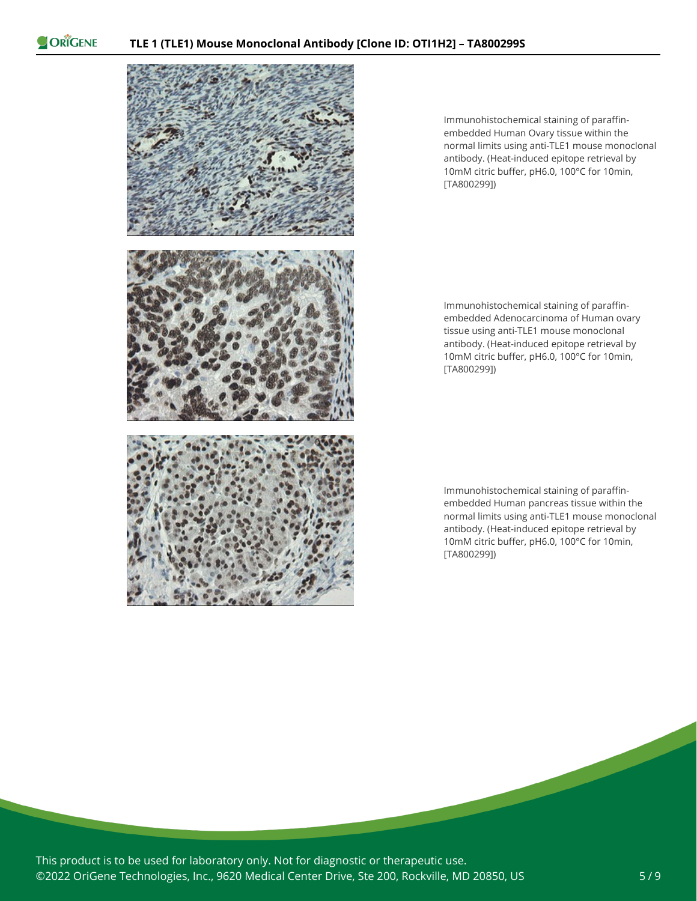

Immunohistochemical staining of paraffinembedded Human Ovary tissue within the normal limits using anti-TLE1 mouse monoclonal antibody. (Heat-induced epitope retrieval by 10mM citric buffer, pH6.0, 100°C for 10min, [TA800299])

Immunohistochemical staining of paraffinembedded Adenocarcinoma of Human ovary tissue using anti-TLE1 mouse monoclonal antibody. (Heat-induced epitope retrieval by 10mM citric buffer, pH6.0, 100°C for 10min, [TA800299])

Immunohistochemical staining of paraffinembedded Human pancreas tissue within the normal limits using anti-TLE1 mouse monoclonal antibody. (Heat-induced epitope retrieval by 10mM citric buffer, pH6.0, 100°C for 10min, [TA800299])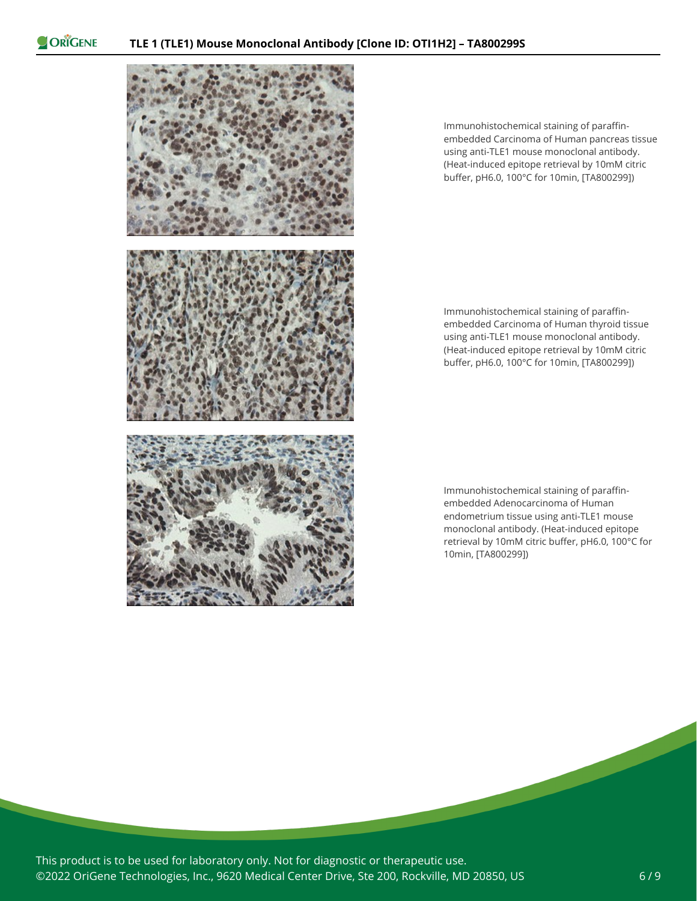

Immunohistochemical staining of paraffinembedded Carcinoma of Human pancreas tissue using anti-TLE1 mouse monoclonal antibody. (Heat-induced epitope retrieval by 10mM citric buffer, pH6.0, 100°C for 10min, [TA800299])

Immunohistochemical staining of paraffinembedded Carcinoma of Human thyroid tissue using anti-TLE1 mouse monoclonal antibody. (Heat-induced epitope retrieval by 10mM citric buffer, pH6.0, 100°C for 10min, [TA800299])

Immunohistochemical staining of paraffinembedded Adenocarcinoma of Human endometrium tissue using anti-TLE1 mouse monoclonal antibody. (Heat-induced epitope retrieval by 10mM citric buffer, pH6.0, 100°C for 10min, [TA800299])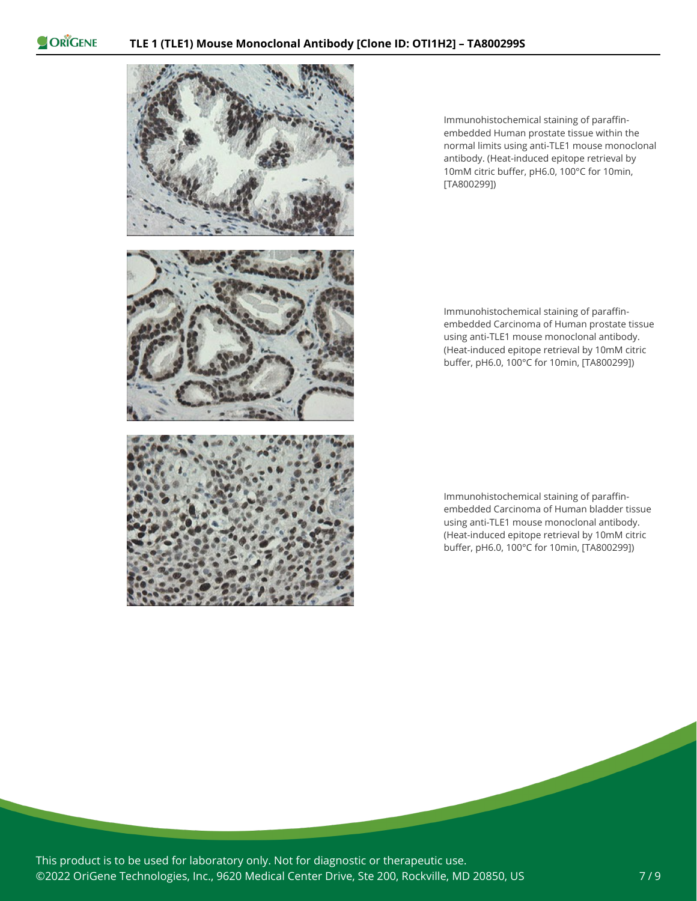

Immunohistochemical staining of paraffinembedded Human prostate tissue within the normal limits using anti-TLE1 mouse monoclonal antibody. (Heat-induced epitope retrieval by 10mM citric buffer, pH6.0, 100°C for 10min, [TA800299])

Immunohistochemical staining of paraffinembedded Carcinoma of Human prostate tissue using anti-TLE1 mouse monoclonal antibody. (Heat-induced epitope retrieval by 10mM citric buffer, pH6.0, 100°C for 10min, [TA800299])

Immunohistochemical staining of paraffinembedded Carcinoma of Human bladder tissue using anti-TLE1 mouse monoclonal antibody. (Heat-induced epitope retrieval by 10mM citric buffer, pH6.0, 100°C for 10min, [TA800299])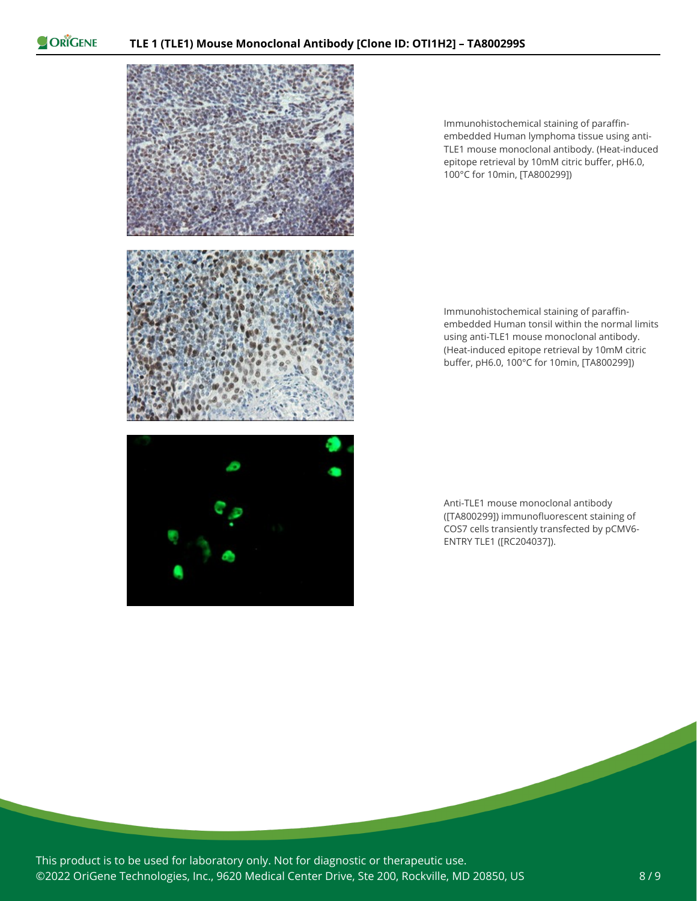

Immunohistochemical staining of paraffinembedded Human lymphoma tissue using anti-TLE1 mouse monoclonal antibody. (Heat-induced epitope retrieval by 10mM citric buffer, pH6.0, 100°C for 10min, [TA800299])



Immunohistochemical staining of paraffinembedded Human tonsil within the normal limits using anti-TLE1 mouse monoclonal antibody. (Heat-induced epitope retrieval by 10mM citric buffer, pH6.0, 100°C for 10min, [TA800299])

Anti-TLE1 mouse monoclonal antibody ([TA800299]) immunofluorescent staining of COS7 cells transiently transfected by pCMV6- ENTRY TLE1 ([RC204037]).